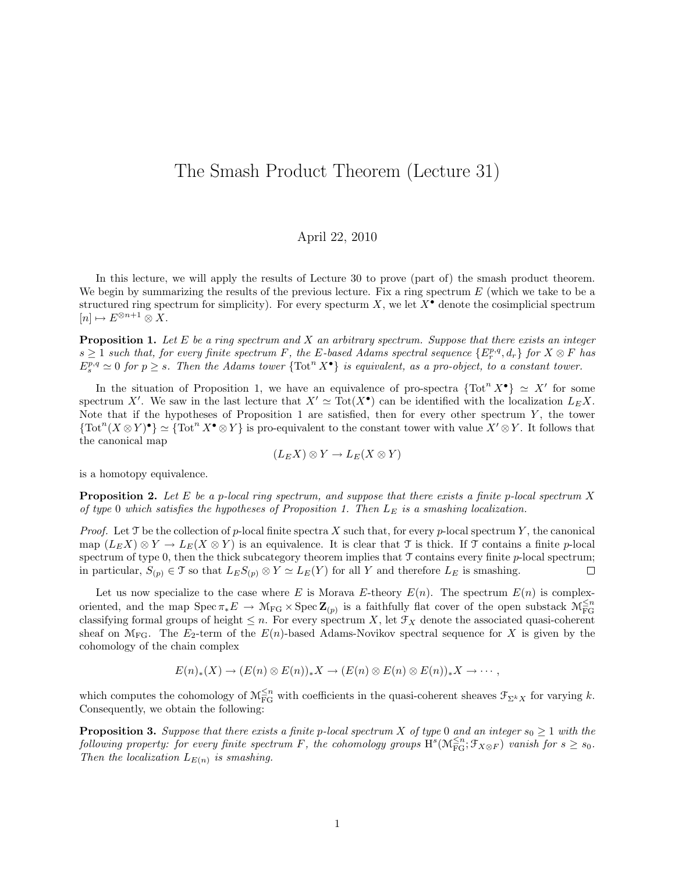## The Smash Product Theorem (Lecture 31)

## April 22, 2010

In this lecture, we will apply the results of Lecture 30 to prove (part of) the smash product theorem. We begin by summarizing the results of the previous lecture. Fix a ring spectrum  $E$  (which we take to be a structured ring spectrum for simplicity). For every specturm  $X$ , we let  $X^{\bullet}$  denote the cosimplicial spectrum  $[n] \mapsto E^{\otimes n+1} \otimes X.$ 

**Proposition 1.** Let  $E$  be a ring spectrum and  $X$  an arbitrary spectrum. Suppose that there exists an integer  $s \geq 1$  such that, for every finite spectrum F, the E-based Adams spectral sequence  $\{E_r^{p,q}, d_r\}$  for  $X \otimes F$  has  $E_s^{p,q} \simeq 0$  for  $p \geq s$ . Then the Adams tower  $\{\text{Tot}^n X^{\bullet}\}\$ is equivalent, as a pro-object, to a constant tower.

In the situation of Proposition 1, we have an equivalence of pro-spectra  $\{Tot^{n} X^{\bullet}\} \simeq X'$  for some spectrum X'. We saw in the last lecture that  $X' \simeq \text{Tot}(X^{\bullet})$  can be identified with the localization  $L_E X$ . Note that if the hypotheses of Proposition 1 are satisfied, then for every other spectrum  $Y$ , the tower  ${\rm (Tot}^n(X\otimes Y)^{\bullet}\simeq{\rm (Tot}^n X^{\bullet}\otimes Y)$  is pro-equivalent to the constant tower with value  $X'\otimes Y$ . It follows that the canonical map

$$
(L_E X) \otimes Y \to L_E(X \otimes Y)
$$

is a homotopy equivalence.

**Proposition 2.** Let E be a p-local ring spectrum, and suppose that there exists a finite p-local spectrum X of type 0 which satisfies the hypotheses of Proposition 1. Then  $L_E$  is a smashing localization.

*Proof.* Let T be the collection of p-local finite spectra X such that, for every p-local spectrum Y, the canonical map  $(L_E X) \otimes Y \to L_E(X \otimes Y)$  is an equivalence. It is clear that T is thick. If T contains a finite p-local spectrum of type  $0$ , then the thick subcategory theorem implies that  $\mathcal T$  contains every finite  $p$ -local spectrum; in particular,  $S_{(p)} \in \mathcal{T}$  so that  $L_E S_{(p)} \otimes Y \simeq L_E(Y)$  for all Y and therefore  $L_E$  is smashing.  $\Box$ 

Let us now specialize to the case where E is Morava E-theory  $E(n)$ . The spectrum  $E(n)$  is complexoriented, and the map  $Spec \pi_* E \to \mathcal{M}_{FG} \times Spec Z_{(p)}$  is a faithfully flat cover of the open substack  $\mathcal{M}_{FG}^{\leq n}$ classifying formal groups of height  $\leq n$ . For every spectrum X, let  $\mathcal{F}_X$  denote the associated quasi-coherent sheaf on  $\mathcal{M}_{FG}$ . The  $E_2$ -term of the  $E(n)$ -based Adams-Novikov spectral sequence for X is given by the cohomology of the chain complex

$$
E(n)_*(X) \to (E(n) \otimes E(n))_*X \to (E(n) \otimes E(n) \otimes E(n))_*X \to \cdots,
$$

which computes the cohomology of  $\mathcal{M}_{FG}^{\leq n}$  with coefficients in the quasi-coherent sheaves  $\mathcal{F}_{\Sigma^k X}$  for varying k. Consequently, we obtain the following:

**Proposition 3.** Suppose that there exists a finite p-local spectrum X of type 0 and an integer  $s_0 \geq 1$  with the following property: for every finite spectrum F, the cohomology groups  $\text{H}^s(\mathcal{M}_{\text{FG}}^{\leq n}; \mathfrak{F}_{X \otimes F})$  vanish for  $s \geq s_0$ . Then the localization  $L_{E(n)}$  is smashing.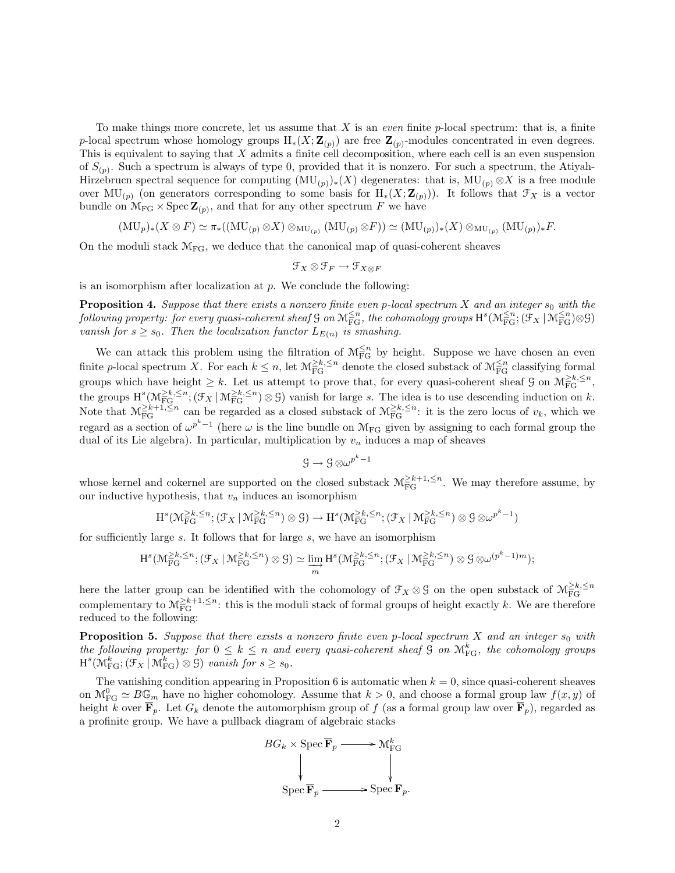To make things more concrete, let us assume that X is an *even* finite  $p$ -local spectrum: that is, a finite p-local spectrum whose homology groups  $H_*(X;\mathbf{Z}_{(p)})$  are free  $\mathbf{Z}_{(p)}$ -modules concentrated in even degrees. This is equivalent to saying that  $X$  admits a finite cell decomposition, where each cell is an even suspension of  $S_{(p)}$ . Such a spectrum is always of type 0, provided that it is nonzero. For such a spectrum, the Atiyah-Hirzebrucn spectral sequence for computing  $(MU_{(p)})_*(X)$  degenerates: that is,  $MU_{(p)} \otimes X$  is a free module over MU<sub>(p)</sub> (on generators corresponding to some basis for  $H_*(X;\mathbf{Z}_{(p)}).$  It follows that  $\mathfrak{F}_X$  is a vector bundle on  $\mathcal{M}_{FG} \times \text{Spec } \mathbf{Z}_{(p)}$ , and that for any other spectrum F we have

$$
(\mathrm{MU}_p)_*(X \otimes F) \simeq \pi_*((\mathrm{MU}_{(p)} \otimes X) \otimes_{\mathrm{MU}_{(p)}} (\mathrm{MU}_{(p)} \otimes F)) \simeq (\mathrm{MU}_{(p)})_*(X) \otimes_{\mathrm{MU}_{(p)}} (\mathrm{MU}_{(p)})_* F.
$$

On the moduli stack  $\mathcal{M}_{FG}$ , we deduce that the canonical map of quasi-coherent sheaves

$$
\mathcal{F}_X\otimes\mathcal{F}_F\to\mathcal{F}_{X\otimes F}
$$

is an isomorphism after localization at  $p$ . We conclude the following:

**Proposition 4.** Suppose that there exists a nonzero finite even p-local spectrum X and an integer  $s_0$  with the  $\textit{following property: for every quasi-coherent sheaf $\mathsf{G}$ on $\mathbb{M}_{\mathrm{FG}}^{\leq n}$, the cohomology groups $\mathrm{H}^s(\mathbb{M}_{\mathrm{FG}}^{\leq n}; (\mathfrak{F}_X\,|\, \mathfrak{M}_{\mathrm{FG}}^{\leq n})\otimes\mathsf{G}$)}$ vanish for  $s \geq s_0$ . Then the localization functor  $L_{E(n)}$  is smashing.

We can attack this problem using the filtration of  $\mathcal{M}_{FG}^{\leq n}$  by height. Suppose we have chosen an even finite p-local spectrum X. For each  $k \leq n$ , let  $\mathcal{M}_{FG}^{\geq k, \leq n}$  denote the closed substack of  $\mathcal{M}_{FG}^{\leq n}$  classifying formal groups which have height  $\geq k$ . Let us attempt to prove that, for every quasi-coherent sheaf G on  $\mathcal{M}_{FG}^{\geq k, \leq n}$ , the groups  $H^s(\mathcal{M}_{FG}^{\geq k,\leq n}; (\mathcal{F}_X \mid \mathcal{M}_{FG}^{\geq k,\leq n}) \otimes \mathcal{G})$  vanish for large s. The idea is to use descending induction on k. Note that  $M_{FG}^{\geq k+1,\leq n}$  can be regarded as a closed substack of  $M_{FG}^{\geq k,\leq n}$ : it is the zero locus of  $v_k$ , which we regard as a section of  $\omega^{p^k-1}$  (here  $\omega$  is the line bundle on  $\mathcal{M}_{FG}$  given by assigning to each formal group the dual of its Lie algebra). In particular, multiplication by  $v_n$  induces a map of sheaves

$$
\mathcal{G}\to \mathcal{G}\otimes \omega^{p^k-1}
$$

whose kernel and cokernel are supported on the closed substack  $\mathcal{M}_{FG}^{\geq k+1,\leq n}$ . We may therefore assume, by our inductive hypothesis, that  $v_n$  induces an isomorphism

$$
H^s(\mathcal{M}_{FG}^{\geq k,\leq n};(\mathcal{F}_X\,|\,\mathcal{M}_{FG}^{\geq k,\leq n})\otimes\mathcal{G})\to H^s(\mathcal{M}_{FG}^{\geq k,\leq n};(\mathcal{F}_X\,|\,\mathcal{M}_{FG}^{\geq k,\leq n})\otimes\mathcal{G}\otimes\omega^{p^k-1})
$$

for sufficiently large s. It follows that for large s, we have an isomorphism

$$
H^s(\mathcal{M}_{FG}^{\geq k,\leq n};(\mathcal{F}_X\mid \mathcal{M}_{FG}^{\geq k,\leq n})\otimes \mathcal{G})\simeq \varinjlim_{m} H^s(\mathcal{M}_{FG}^{\geq k,\leq n};(\mathcal{F}_X\mid \mathcal{M}_{FG}^{\geq k,\leq n})\otimes \mathcal{G}\otimes \omega^{(p^k-1)m});
$$

here the latter group can be identified with the cohomology of  $\mathcal{F}_X \otimes \mathcal{G}$  on the open substack of  $\mathcal{M}^{\geq k, \leq n}_{\text{FG}}$ complementary to  $\mathcal{M}_{FG}^{\geq k+1,\leq n}$ : this is the moduli stack of formal groups of height exactly k. We are therefore reduced to the following:

**Proposition 5.** Suppose that there exists a nonzero finite even p-local spectrum X and an integer  $s_0$  with the following property: for  $0 \leq k \leq n$  and every quasi-coherent sheaf  $\Im$  on  $\mathcal{M}_{FG}^k$ , the cohomology groups  $H^{s}(\mathcal{M}_{FG}^{k};(\mathcal{F}_{X} \mid \mathcal{M}_{FG}^{k}) \otimes \mathcal{G})$  vanish for  $s \geq s_{0}$ .

The vanishing condition appearing in Proposition 6 is automatic when  $k = 0$ , since quasi-coherent sheaves on  $\mathcal{M}_{FG}^0 \simeq B\mathbb{G}_m$  have no higher cohomology. Assume that  $k > 0$ , and choose a formal group law  $f(x, y)$  of height k over  $\mathbf{F}_p$ . Let  $G_k$  denote the automorphism group of f (as a formal group law over  $\mathbf{F}_p$ ), regarded as a profinite group. We have a pullback diagram of algebraic stacks